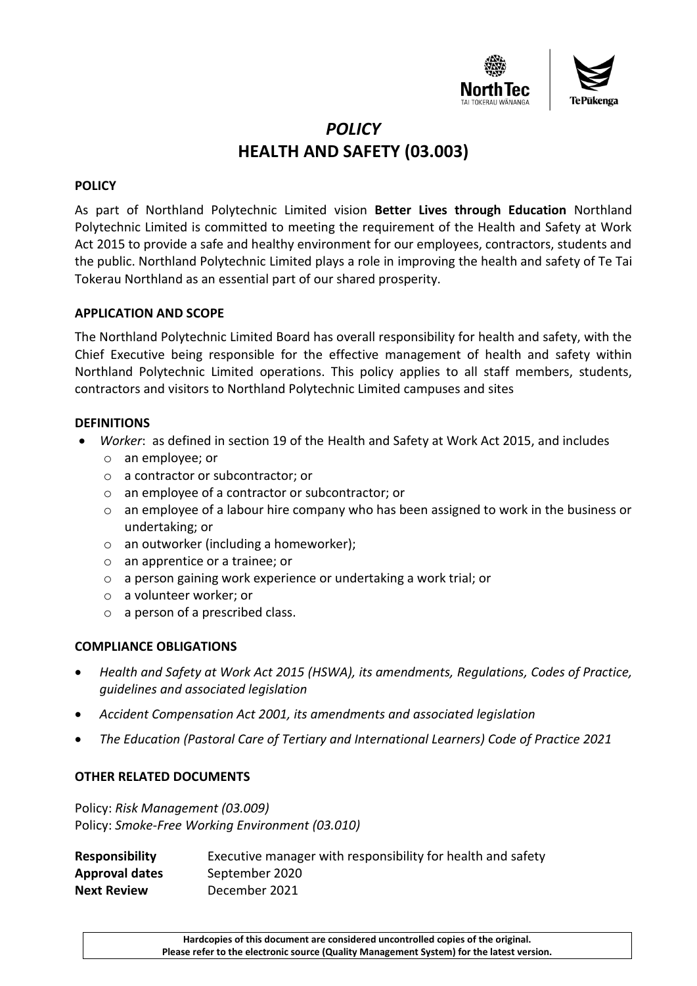

# *POLICY* **HEALTH AND SAFETY (03.003)**

### **POLICY**

As part of Northland Polytechnic Limited vision **Better Lives through Education** Northland Polytechnic Limited is committed to meeting the requirement of the Health and Safety at Work Act 2015 to provide a safe and healthy environment for our employees, contractors, students and the public. Northland Polytechnic Limited plays a role in improving the health and safety of Te Tai Tokerau Northland as an essential part of our shared prosperity.

#### **APPLICATION AND SCOPE**

The Northland Polytechnic Limited Board has overall responsibility for health and safety, with the Chief Executive being responsible for the effective management of health and safety within Northland Polytechnic Limited operations. This policy applies to all staff members, students, contractors and visitors to Northland Polytechnic Limited campuses and sites

## **DEFINITIONS**

- *Worker*: as defined in section 19 of the Health and Safety at Work Act 2015, and includes
	- o an employee; or
	- o a contractor or subcontractor; or
	- o an employee of a contractor or subcontractor; or
	- o an employee of a labour hire company who has been assigned to work in the business or undertaking; or
	- o an outworker (including a homeworker);
	- o an apprentice or a trainee; or
	- o a person gaining work experience or undertaking a work trial; or
	- o a volunteer worker; or
	- o a person of a prescribed class.

## **COMPLIANCE OBLIGATIONS**

- *Health and Safety at Work Act 2015 (HSWA), its amendments, Regulations, Codes of Practice, guidelines and associated legislation*
- *Accident Compensation Act 2001, its amendments and associated legislation*
- *The Education (Pastoral Care of Tertiary and International Learners) Code of Practice 2021*

#### **OTHER RELATED DOCUMENTS**

Policy: *Risk Management (03.009)* Policy: *Smoke-Free Working Environment (03.010)*

| <b>Responsibility</b> | Executive manager with responsibility for health and safety |
|-----------------------|-------------------------------------------------------------|
| Approval dates        | September 2020                                              |
| <b>Next Review</b>    | December 2021                                               |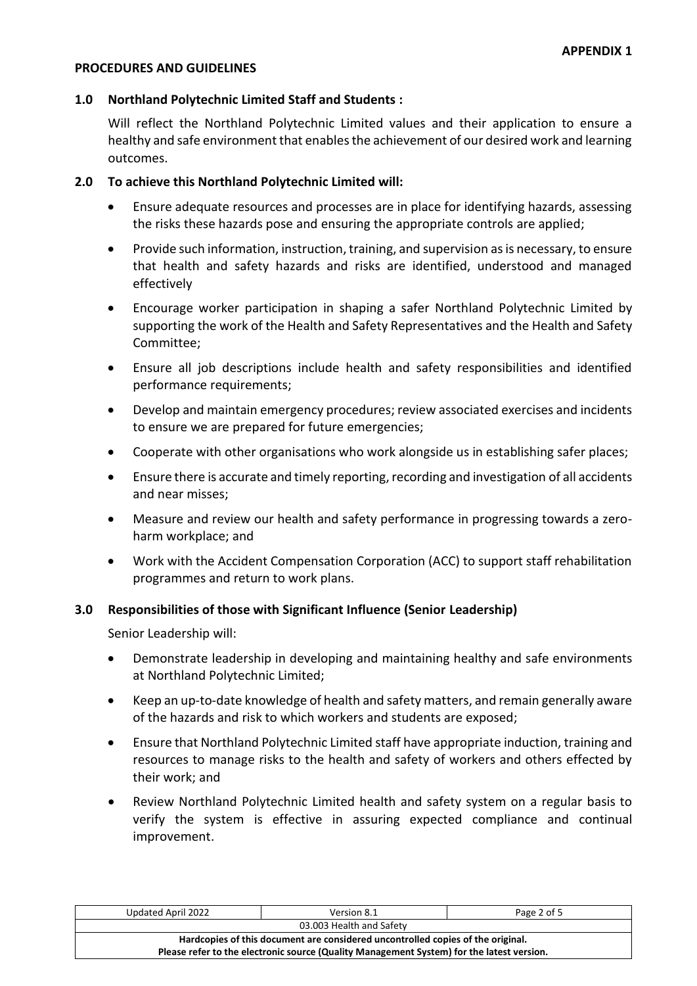#### **PROCEDURES AND GUIDELINES**

#### **1.0 Northland Polytechnic Limited Staff and Students :**

Will reflect the Northland Polytechnic Limited values and their application to ensure a healthy and safe environment that enables the achievement of our desired work and learning outcomes.

#### **2.0 To achieve this Northland Polytechnic Limited will:**

- Ensure adequate resources and processes are in place for identifying hazards, assessing the risks these hazards pose and ensuring the appropriate controls are applied;
- Provide such information, instruction, training, and supervision as is necessary, to ensure that health and safety hazards and risks are identified, understood and managed effectively
- Encourage worker participation in shaping a safer Northland Polytechnic Limited by supporting the work of the Health and Safety Representatives and the Health and Safety Committee;
- Ensure all job descriptions include health and safety responsibilities and identified performance requirements;
- Develop and maintain emergency procedures; review associated exercises and incidents to ensure we are prepared for future emergencies;
- Cooperate with other organisations who work alongside us in establishing safer places;
- Ensure there is accurate and timely reporting, recording and investigation of all accidents and near misses;
- Measure and review our health and safety performance in progressing towards a zeroharm workplace; and
- Work with the Accident Compensation Corporation (ACC) to support staff rehabilitation programmes and return to work plans.

#### **3.0 Responsibilities of those with Significant Influence (Senior Leadership)**

Senior Leadership will:

- Demonstrate leadership in developing and maintaining healthy and safe environments at Northland Polytechnic Limited;
- Keep an up-to-date knowledge of health and safety matters, and remain generally aware of the hazards and risk to which workers and students are exposed;
- Ensure that Northland Polytechnic Limited staff have appropriate induction, training and resources to manage risks to the health and safety of workers and others effected by their work; and
- Review Northland Polytechnic Limited health and safety system on a regular basis to verify the system is effective in assuring expected compliance and continual improvement.

| Updated April 2022                                                                        | Version 8.1 | Page 2 of 5 |  |
|-------------------------------------------------------------------------------------------|-------------|-------------|--|
| 03.003 Health and Safety                                                                  |             |             |  |
| Hardcopies of this document are considered uncontrolled copies of the original.           |             |             |  |
| Please refer to the electronic source (Quality Management System) for the latest version. |             |             |  |
|                                                                                           |             |             |  |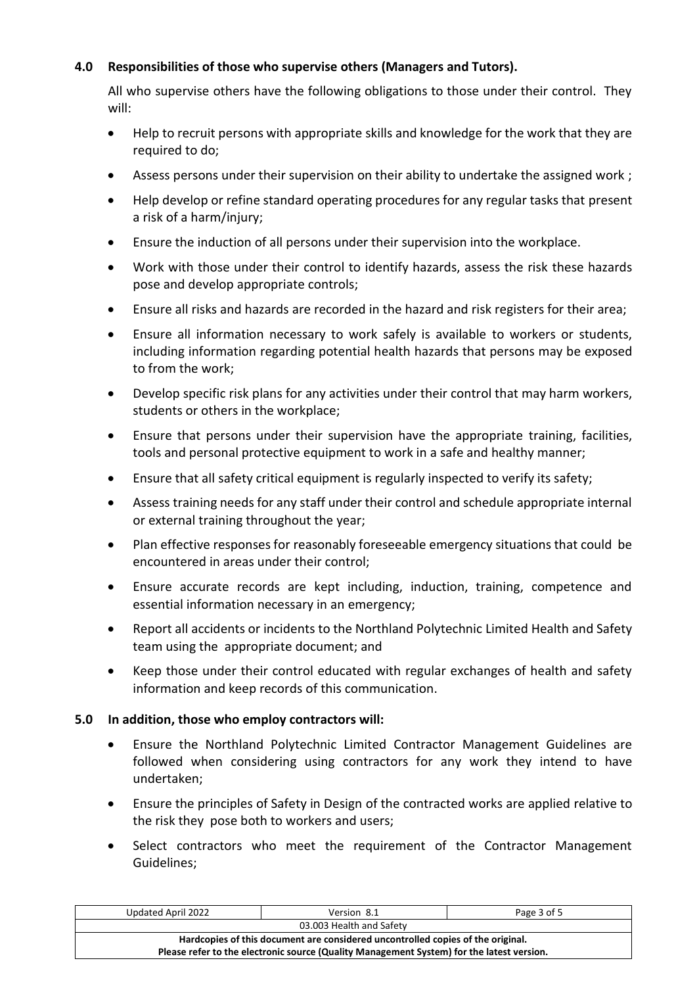## **4.0 Responsibilities of those who supervise others (Managers and Tutors).**

All who supervise others have the following obligations to those under their control. They will:

- Help to recruit persons with appropriate skills and knowledge for the work that they are required to do:
- Assess persons under their supervision on their ability to undertake the assigned work;
- Help develop or refine standard operating procedures for any regular tasks that present a risk of a harm/injury;
- Ensure the induction of all persons under their supervision into the workplace.
- Work with those under their control to identify hazards, assess the risk these hazards pose and develop appropriate controls;
- Ensure all risks and hazards are recorded in the hazard and risk registers for their area;
- Ensure all information necessary to work safely is available to workers or students, including information regarding potential health hazards that persons may be exposed to from the work;
- Develop specific risk plans for any activities under their control that may harm workers, students or others in the workplace;
- Ensure that persons under their supervision have the appropriate training, facilities, tools and personal protective equipment to work in a safe and healthy manner;
- Ensure that all safety critical equipment is regularly inspected to verify its safety;
- Assess training needs for any staff under their control and schedule appropriate internal or external training throughout the year;
- Plan effective responses for reasonably foreseeable emergency situations that could be encountered in areas under their control;
- Ensure accurate records are kept including, induction, training, competence and essential information necessary in an emergency;
- Report all accidents or incidents to the Northland Polytechnic Limited Health and Safety team using the appropriate document; and
- Keep those under their control educated with regular exchanges of health and safety information and keep records of this communication.

## **5.0 In addition, those who employ contractors will:**

- Ensure the Northland Polytechnic Limited Contractor Management Guidelines are followed when considering using contractors for any work they intend to have undertaken;
- Ensure the principles of Safety in Design of the contracted works are applied relative to the risk they pose both to workers and users;
- Select contractors who meet the requirement of the Contractor Management Guidelines;

| Version 8.1                                                                               | Page 3 of 5 |  |  |
|-------------------------------------------------------------------------------------------|-------------|--|--|
| 03.003 Health and Safety                                                                  |             |  |  |
| Hardcopies of this document are considered uncontrolled copies of the original.           |             |  |  |
| Please refer to the electronic source (Quality Management System) for the latest version. |             |  |  |
|                                                                                           |             |  |  |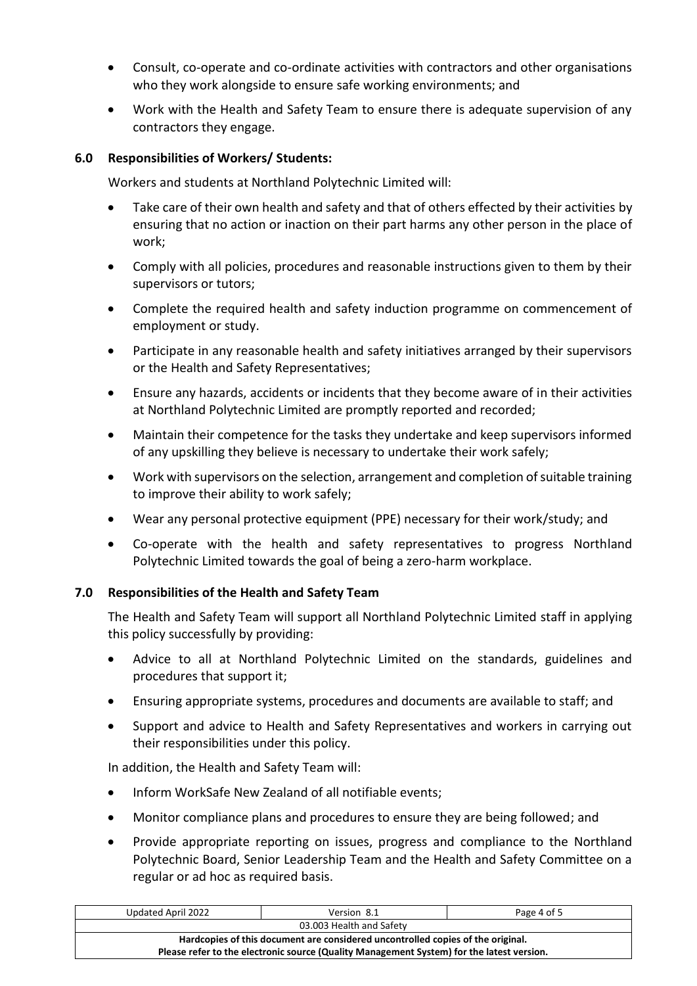- Consult, co-operate and co-ordinate activities with contractors and other organisations who they work alongside to ensure safe working environments; and
- Work with the Health and Safety Team to ensure there is adequate supervision of any contractors they engage.

## **6.0 Responsibilities of Workers/ Students:**

Workers and students at Northland Polytechnic Limited will:

- Take care of their own health and safety and that of others effected by their activities by ensuring that no action or inaction on their part harms any other person in the place of work;
- Comply with all policies, procedures and reasonable instructions given to them by their supervisors or tutors;
- Complete the required health and safety induction programme on commencement of employment or study.
- Participate in any reasonable health and safety initiatives arranged by their supervisors or the Health and Safety Representatives;
- Ensure any hazards, accidents or incidents that they become aware of in their activities at Northland Polytechnic Limited are promptly reported and recorded;
- Maintain their competence for the tasks they undertake and keep supervisors informed of any upskilling they believe is necessary to undertake their work safely;
- Work with supervisors on the selection, arrangement and completion of suitable training to improve their ability to work safely;
- Wear any personal protective equipment (PPE) necessary for their work/study; and
- Co-operate with the health and safety representatives to progress Northland Polytechnic Limited towards the goal of being a zero-harm workplace.

## **7.0 Responsibilities of the Health and Safety Team**

The Health and Safety Team will support all Northland Polytechnic Limited staff in applying this policy successfully by providing:

- Advice to all at Northland Polytechnic Limited on the standards, guidelines and procedures that support it;
- Ensuring appropriate systems, procedures and documents are available to staff; and
- Support and advice to Health and Safety Representatives and workers in carrying out their responsibilities under this policy.

In addition, the Health and Safety Team will:

- Inform WorkSafe New Zealand of all notifiable events;
- Monitor compliance plans and procedures to ensure they are being followed; and
- Provide appropriate reporting on issues, progress and compliance to the Northland Polytechnic Board, Senior Leadership Team and the Health and Safety Committee on a regular or ad hoc as required basis.

| Updated April 2022                                                                        | Version 8.1 | Page 4 of 5 |  |
|-------------------------------------------------------------------------------------------|-------------|-------------|--|
| 03.003 Health and Safety                                                                  |             |             |  |
| Hardcopies of this document are considered uncontrolled copies of the original.           |             |             |  |
| Please refer to the electronic source (Quality Management System) for the latest version. |             |             |  |